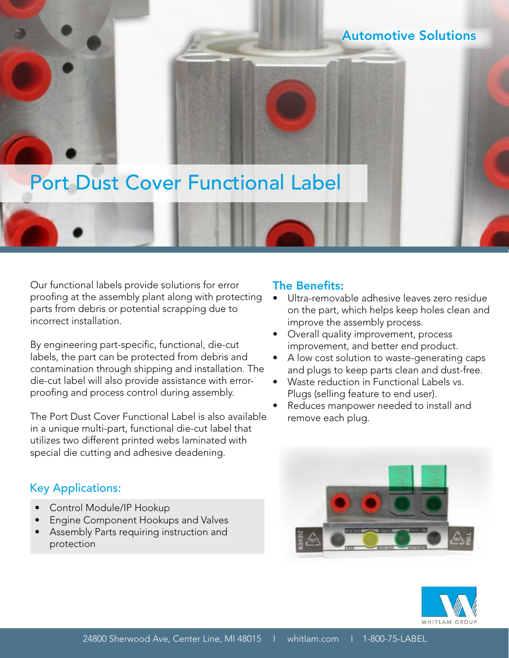## Automotive Solutions

## Port Dust Cover Functional Label

Our functional labels provide solutions for error proofing at the assembly plant along with protecting parts from debris or potential scrapping due to incorrect installation.

By engineering part-specific, functional, die-cut labels, the part can be protected from debris and contamination through shipping and installation. The die-cut label will also provide assistance with errorproofing and process control during assembly.

The Port Dust Cover Functional Label is also available in a unique multi-part, functional die-cut label that utilizes two different printed webs laminated with special die cutting and adhesive deadening.

## Key Applications:

- Control Module/IP Hookup
- Engine Component Hookups and Valves
- Assembly Parts requiring instruction and protection

## The Benefits:

- Ultra-removable adhesive leaves zero residue on the part, which helps keep holes clean and improve the assembly process.
- Overall quality improvement, process improvement, and better end product.
- A low cost solution to waste-generating caps and plugs to keep parts clean and dust-free.
- Waste reduction in Functional Labels vs. Plugs (selling feature to end user).
- Reduces manpower needed to install and remove each plug.